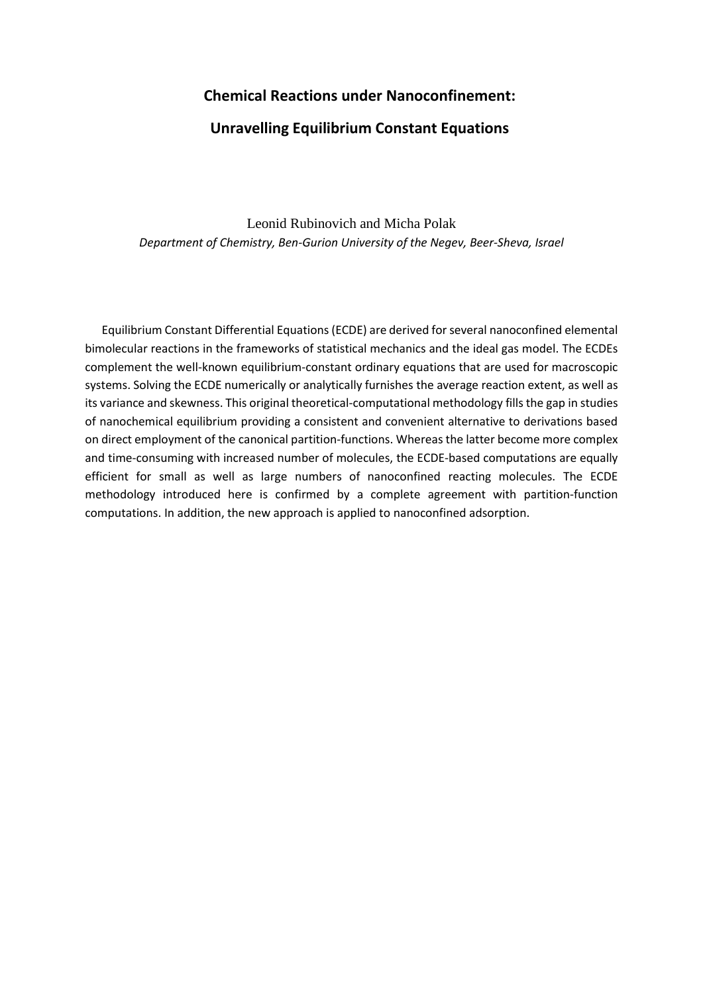# **Chemical Reactions under Nanoconfinement:**

## **Unravelling Equilibrium Constant Equations**

Leonid Rubinovich and Micha Polak *Department of Chemistry, Ben-Gurion University of the Negev, Beer-Sheva, Israel*

Equilibrium Constant Differential Equations (ECDE) are derived for several nanoconfined elemental bimolecular reactions in the frameworks of statistical mechanics and the ideal gas model. The ECDEs complement the well-known equilibrium-constant ordinary equations that are used for macroscopic systems. Solving the ECDE numerically or analytically furnishes the average reaction extent, as well as its variance and skewness. This original theoretical-computational methodology fills the gap in studies of nanochemical equilibrium providing a consistent and convenient alternative to derivations based on direct employment of the canonical partition-functions. Whereas the latter become more complex and time-consuming with increased number of molecules, the ECDE-based computations are equally efficient for small as well as large numbers of nanoconfined reacting molecules. The ECDE methodology introduced here is confirmed by a complete agreement with partition-function computations. In addition, the new approach is applied to nanoconfined adsorption.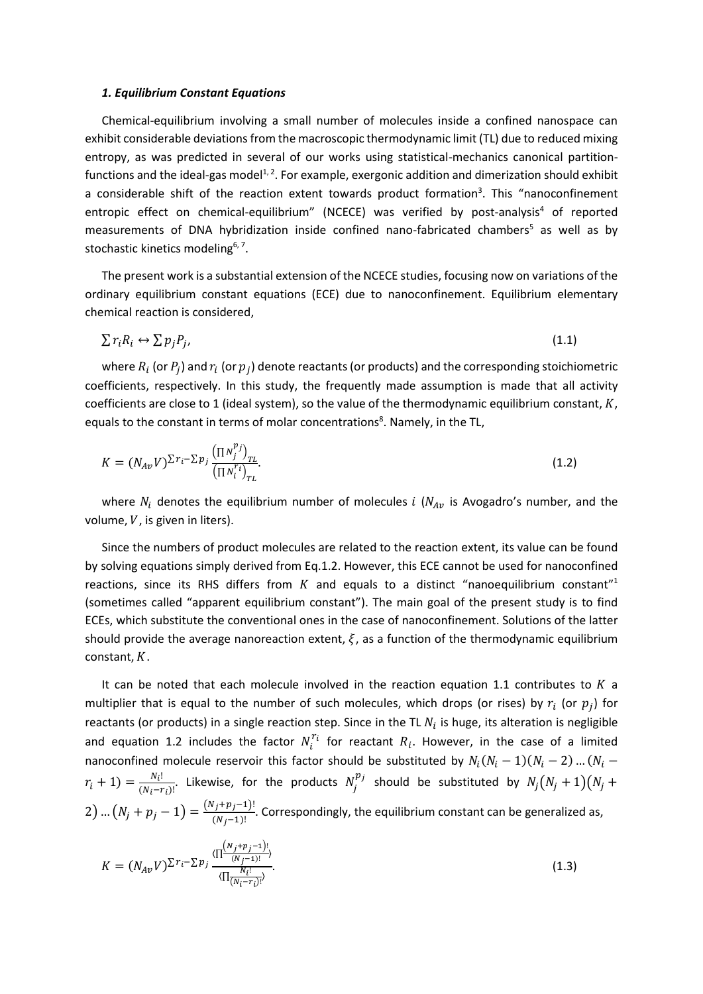#### *1. Equilibrium Constant Equations*

Chemical-equilibrium involving a small number of molecules inside a confined nanospace can exhibit considerable deviations from the macroscopic thermodynamic limit (TL) due to reduced mixing entropy, as was predicted in several of our works using statistical-mechanics canonical partitionfunctions and the ideal-gas model<sup>1,2</sup>. For example, exergonic addition and dimerization should exhibit a considerable shift of the reaction extent towards product formation<sup>3</sup>. This "nanoconfinement entropic effect on chemical-equilibrium" (NCECE) was verified by post-analysis<sup>4</sup> of reported measurements of DNA hybridization inside confined nano-fabricated chambers<sup>5</sup> as well as by stochastic kinetics modeling<sup>6, 7</sup>.

The present work is a substantial extension of the NCECE studies, focusing now on variations of the ordinary equilibrium constant equations (ECE) due to nanoconfinement. Equilibrium elementary chemical reaction is considered,

$$
\sum r_i R_i \leftrightarrow \sum p_j P_j,\tag{1.1}
$$

where  $R_i$  (or  $P_j$ ) and  $r_i$  (or  $p_j$ ) denote reactants (or products) and the corresponding stoichiometric coefficients, respectively. In this study, the frequently made assumption is made that all activity coefficients are close to 1 (ideal system), so the value of the thermodynamic equilibrium constant,  $K$ , equals to the constant in terms of molar concentrations<sup>8</sup>. Namely, in the TL,

$$
K = (N_{Av}V)^{\sum r_i - \sum p_j} \frac{(\Pi N_j^{p_j})_{TL}}{(\Pi N_i^{r_i})_{TL}}.
$$
\n(1.2)

where  $N_i$  denotes the equilibrium number of molecules *i* ( $N_{Av}$  is Avogadro's number, and the volume,  $V$ , is given in liters).

Since the numbers of product molecules are related to the reaction extent, its value can be found by solving equations simply derived from Eq.1.2. However, this ECE cannot be used for nanoconfined reactions, since its RHS differs from  $K$  and equals to a distinct "nanoequilibrium constant"<sup>1</sup> (sometimes called "apparent equilibrium constant"). The main goal of the present study is to find ECEs, which substitute the conventional ones in the case of nanoconfinement. Solutions of the latter should provide the average nanoreaction extent,  $\xi$ , as a function of the thermodynamic equilibrium constant,  $K$ .

It can be noted that each molecule involved in the reaction equation 1.1 contributes to  $K$  a multiplier that is equal to the number of such molecules, which drops (or rises) by  $r_i$  (or  $p_j$ ) for reactants (or products) in a single reaction step. Since in the TL  $N_i$  is huge, its alteration is negligible and equation 1.2 includes the factor  $N_i^{r_i}$  for reactant  $R_i$ . However, in the case of a limited nanoconfined molecule reservoir this factor should be substituted by  $N_i(N_i-1)(N_i-2)$  ...  $(N_i-1)$  $r_i + 1$ ) =  $\frac{N_i!}{(N_i - n)}$  $\frac{N_i!}{(N_i-r_i)!}$ . Likewise, for the products  $N_j^{p_j}$  should be substituted by  $N_j(N_j+1)(N_j+1)$ 2) ...  $(N_j + p_j - 1) = \frac{(N_j + p_j - 1)!}{(N_j - 1)!}$  $\frac{(N_f+P) - 2N}{(N_f-1)!}$ . Correspondingly, the equilibrium constant can be generalized as,

$$
K = (N_{Av}V)^{\sum r_i - \sum p_j} \frac{\langle \prod_{\substack{(N_j + p_j - 1)! \\ (N_j - 1)!}} \rangle}{\langle \prod_{\substack{N_i! \\ (N_i - r_i)!}} \rangle}.
$$
\n(1.3)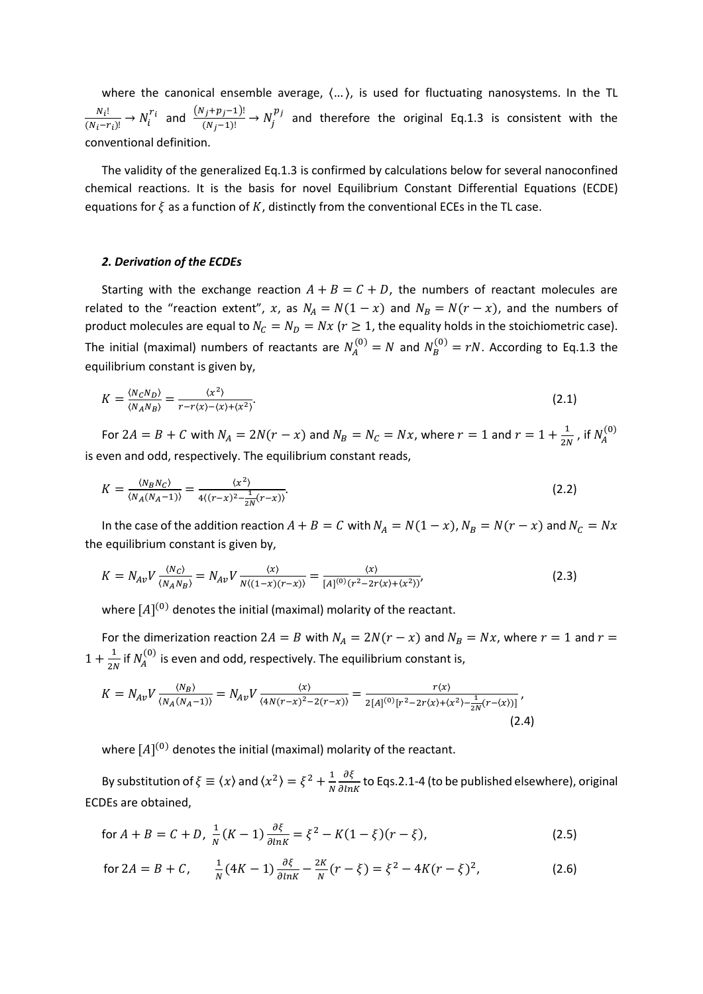where the canonical ensemble average,  $\langle ... \rangle$ , is used for fluctuating nanosystems. In the TL  $N_i!$  $\frac{N_i!}{(N_i-r_i)!}$  →  $N_i^{r_i}$  and  $\frac{(N_j+p_j-1)!}{(N_j-1)!}$  →  $N_j^{p_j}$  and therefore the original Eq.1.3 is consistent with the conventional definition.

The validity of the generalized Eq.1.3 is confirmed by calculations below for several nanoconfined chemical reactions. It is the basis for novel Equilibrium Constant Differential Equations (ECDE) equations for  $\xi$  as a function of K, distinctly from the conventional ECEs in the TL case.

### *2. Derivation of the ECDEs*

Starting with the exchange reaction  $A + B = C + D$ , the numbers of reactant molecules are related to the "reaction extent", x, as  $N_A = N(1 - x)$  and  $N_B = N(r - x)$ , and the numbers of product molecules are equal to  $N_c = N_p = Nx$  ( $r \ge 1$ , the equality holds in the stoichiometric case). The initial (maximal) numbers of reactants are  $N_A^{(0)}=N$  and  $N_B^{(0)}=rN$ . According to Eq.1.3 the equilibrium constant is given by,

$$
K = \frac{\langle N_C N_D \rangle}{\langle N_A N_B \rangle} = \frac{\langle x^2 \rangle}{r - r \langle x \rangle - \langle x \rangle + \langle x^2 \rangle}.
$$
 (2.1)

For  $2A = B + C$  with  $N_A = 2N(r - x)$  and  $N_B = N_C = Nx$ , where  $r = 1$  and  $r = 1 + \frac{1}{2l}$  $\frac{1}{2N}$ , if  $N_A^{(0)}$ is even and odd, respectively. The equilibrium constant reads,

$$
K = \frac{\langle N_B N_C \rangle}{\langle N_A (N_A - 1) \rangle} = \frac{\langle x^2 \rangle}{4 \langle (r - x)^2 - \frac{1}{2N} (r - x) \rangle}.
$$
 (2.2)

In the case of the addition reaction  $A + B = C$  with  $N_A = N(1 - x)$ ,  $N_B = N(r - x)$  and  $N_C = Nx$ the equilibrium constant is given by,

$$
K = N_{Av}V \frac{\langle N_C \rangle}{\langle N_A N_B \rangle} = N_{Av}V \frac{\langle x \rangle}{N\langle (1-x)(r-x) \rangle} = \frac{\langle x \rangle}{[A]^{(0)}(r^2 - 2r\langle x \rangle + \langle x^2 \rangle)},
$$
(2.3)

where  $[A]^{(0)}$  denotes the initial (maximal) molarity of the reactant.

For the dimerization reaction  $2A = B$  with  $N_A = 2N(r - x)$  and  $N_B = Nx$ , where  $r = 1$  and  $r =$  $1 + \frac{1}{2}$  $\frac{1}{2N}$  if  $N_A^{(0)}$  is even and odd, respectively. The equilibrium constant is,

$$
K = N_{Av} V \frac{\langle N_B \rangle}{\langle N_A (N_A - 1) \rangle} = N_{Av} V \frac{\langle x \rangle}{\langle 4N(r - x)^2 - 2(r - x) \rangle} = \frac{r \langle x \rangle}{2[A]^{(0)} [r^2 - 2r \langle x \rangle + \langle x^2 \rangle - \frac{1}{2N}(r - \langle x \rangle)]},
$$
\n(2.4)

where  $[A]^{(0)}$  denotes the initial (maximal) molarity of the reactant.

By substitution of  $\xi \equiv \langle x \rangle$  and  $\langle x^2 \rangle = \xi^2 + \frac{1}{N}$ N  $\frac{\partial \xi}{\partial lnK}$  to Eqs.2.1-4 (to be published elsewhere), original ECDEs are obtained,

for 
$$
A + B = C + D
$$
,  $\frac{1}{N}(K - 1)\frac{\partial \xi}{\partial ln K} = \xi^2 - K(1 - \xi)(r - \xi)$ , (2.5)

for 
$$
2A = B + C
$$
,  $\frac{1}{N}(4K - 1)\frac{\partial \xi}{\partial \ln K} - \frac{2K}{N}(r - \xi) = \xi^2 - 4K(r - \xi)^2$ , (2.6)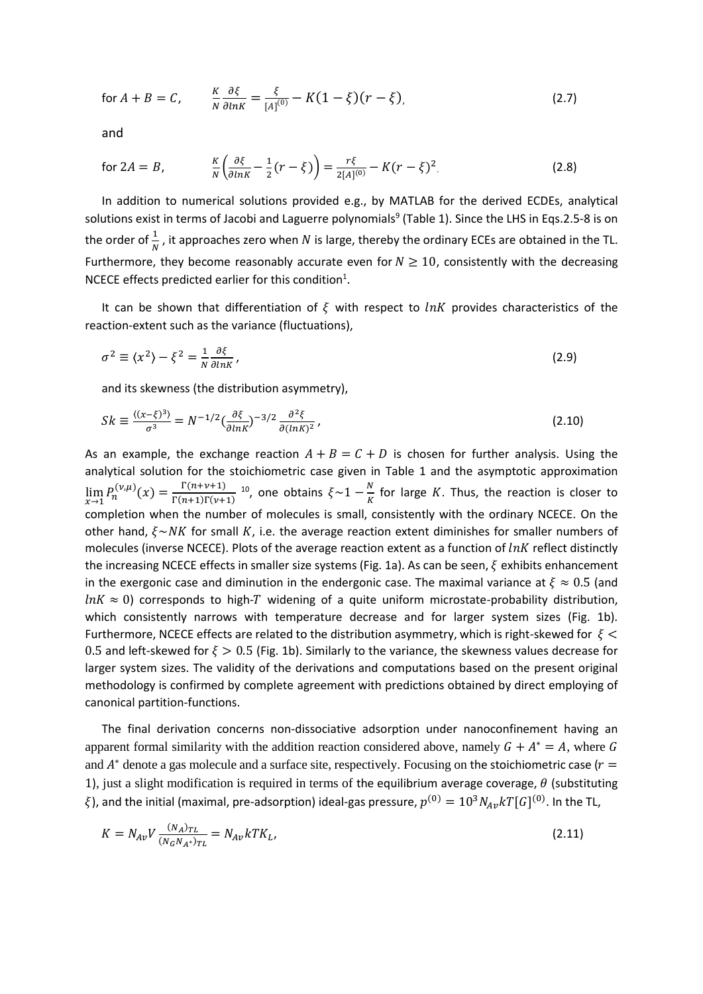for 
$$
A + B = C
$$
,  $\frac{K}{N} \frac{\partial \xi}{\partial lnK} = \frac{\xi}{[A]^{(0)}} - K(1 - \xi)(r - \xi)$ , (2.7)

and

for 
$$
2A = B
$$
,  $\frac{K}{N} \left( \frac{\partial \xi}{\partial ln K} - \frac{1}{2} (r - \xi) \right) = \frac{r \xi}{2[A]^{(0)}} - K(r - \xi)^2$ . (2.8)

In addition to numerical solutions provided e.g., by MATLAB for the derived ECDEs, analytical solutions exist in terms of Jacobi and Laguerre polynomials<sup>9</sup> (Table 1). Since the LHS in Eqs.2.5-8 is on the order of  $\frac{1}{N}$ , it approaches zero when  $N$  is large, thereby the ordinary ECEs are obtained in the TL. Furthermore, they become reasonably accurate even for  $N \geq 10$ , consistently with the decreasing NCECE effects predicted earlier for this condition<sup>1</sup>.

It can be shown that differentiation of  $\xi$  with respect to lnK provides characteristics of the reaction-extent such as the variance (fluctuations),

$$
\sigma^2 \equiv \langle x^2 \rangle - \xi^2 = \frac{1}{N} \frac{\partial \xi}{\partial lnK},\tag{2.9}
$$

and its skewness (the distribution asymmetry),

$$
Sk \equiv \frac{\langle (x-\xi)^3 \rangle}{\sigma^3} = N^{-1/2} \left(\frac{\partial \xi}{\partial ln K}\right)^{-3/2} \frac{\partial^2 \xi}{\partial (ln K)^2},\tag{2.10}
$$

As an example, the exchange reaction  $A + B = C + D$  is chosen for further analysis. Using the analytical solution for the stoichiometric case given in Table 1 and the asymptotic approximation  $\lim_{x \to 1} P_n^{(\nu,\mu)}(x) = \frac{\Gamma(n+\nu+1)}{\Gamma(n+1)\Gamma(\nu+1)}$  $\Gamma(n+1)\Gamma(\nu+1)$ <sup>10</sup>, one obtains  $\xi \sim 1 - \frac{N}{K}$  $\frac{N}{K}$  for large K. Thus, the reaction is closer to completion when the number of molecules is small, consistently with the ordinary NCECE. On the other hand,  $\xi \sim NK$  for small K, i.e. the average reaction extent diminishes for smaller numbers of molecules (inverse NCECE). Plots of the average reaction extent as a function of  $ln K$  reflect distinctly the increasing NCECE effects in smaller size systems (Fig. 1a). As can be seen,  $\xi$  exhibits enhancement in the exergonic case and diminution in the endergonic case. The maximal variance at  $\xi \approx 0.5$  (and  $ln K \approx 0$ ) corresponds to high-T widening of a quite uniform microstate-probability distribution, which consistently narrows with temperature decrease and for larger system sizes (Fig. 1b). Furthermore, NCECE effects are related to the distribution asymmetry, which is right-skewed for  $\xi$  < 0.5 and left-skewed for  $\xi > 0.5$  (Fig. 1b). Similarly to the variance, the skewness values decrease for larger system sizes. The validity of the derivations and computations based on the present original methodology is confirmed by complete agreement with predictions obtained by direct employing of canonical partition-functions.

The final derivation concerns non-dissociative adsorption under nanoconfinement having an apparent formal similarity with the addition reaction considered above, namely  $G + A^* = A$ , where G and  $A^*$  denote a gas molecule and a surface site, respectively. Focusing on the stoichiometric case ( $r =$ 1), just a slight modification is required in terms of the equilibrium average coverage,  $\theta$  (substituting  $\xi$ ), and the initial (maximal, pre-adsorption) ideal-gas pressure,  $p^{(0)}=10^3N_{Av}kT[G]^{(0)}.$  In the TL,

$$
K = N_{Av} V \frac{(N_A)_{TL}}{(N_G N_A^*)_{TL}} = N_{Av} k T K_L,
$$
\n(2.11)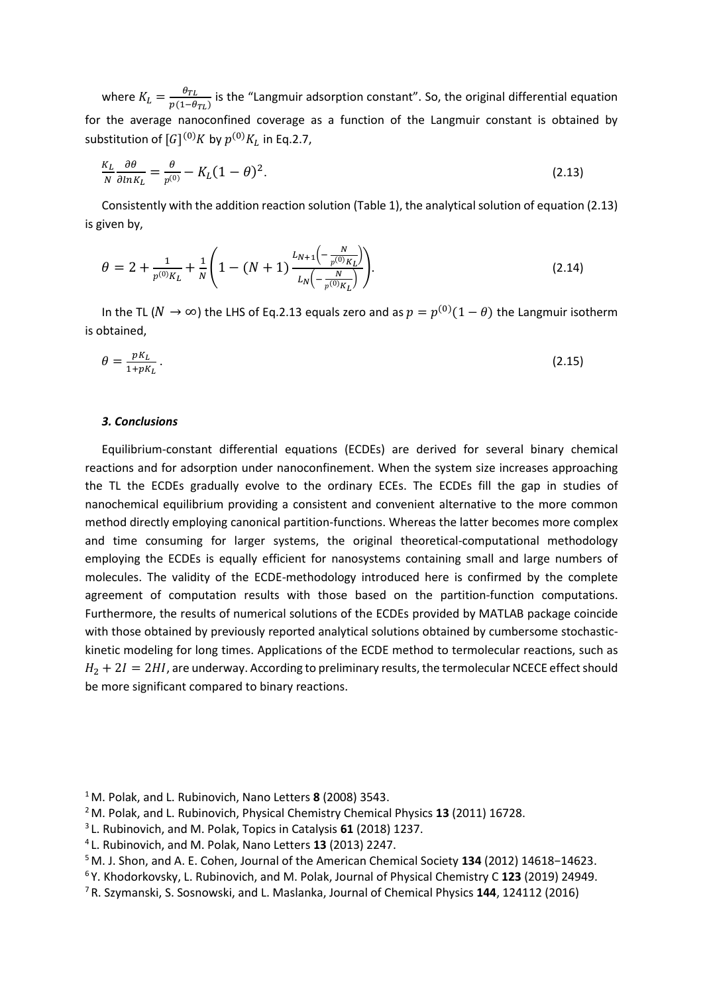where  $K_L = \frac{\theta_{TL}}{n(1-\theta)}$  $\frac{v_{TL}}{p(1-\theta_{TL})}$  is the "Langmuir adsorption constant". So, the original differential equation for the average nanoconfined coverage as a function of the Langmuir constant is obtained by substitution of  $[G]^{(0)}K$  by  $p^{(0)}K_L$  in Eq.2.7,

$$
\frac{K_L}{N} \frac{\partial \theta}{\partial ln K_L} = \frac{\theta}{p^{(0)}} - K_L (1 - \theta)^2.
$$
\n(2.13)

Consistently with the addition reaction solution (Table 1), the analytical solution of equation (2.13) is given by,

$$
\theta = 2 + \frac{1}{p^{(0)}K_L} + \frac{1}{N} \left( 1 - (N+1) \frac{L_{N+1} \left( -\frac{N}{p^{(0)}K_L} \right)}{L_N \left( -\frac{N}{p^{(0)}K_L} \right)} \right).
$$
\n(2.14)

In the TL ( $N \to \infty$ ) the LHS of Eq.2.13 equals zero and as  $p = p^{(0)}(1-\theta)$  the Langmuir isotherm is obtained,

$$
\theta = \frac{pK_L}{1 + pK_L} \,. \tag{2.15}
$$

#### *3. Conclusions*

Equilibrium-constant differential equations (ECDEs) are derived for several binary chemical reactions and for adsorption under nanoconfinement. When the system size increases approaching the TL the ECDEs gradually evolve to the ordinary ECEs. The ECDEs fill the gap in studies of nanochemical equilibrium providing a consistent and convenient alternative to the more common method directly employing canonical partition-functions. Whereas the latter becomes more complex and time consuming for larger systems, the original theoretical-computational methodology employing the ECDEs is equally efficient for nanosystems containing small and large numbers of molecules. The validity of the ECDE-methodology introduced here is confirmed by the complete agreement of computation results with those based on the partition-function computations. Furthermore, the results of numerical solutions of the ECDEs provided by MATLAB package coincide with those obtained by previously reported analytical solutions obtained by cumbersome stochastickinetic modeling for long times. Applications of the ECDE method to termolecular reactions, such as  $H_2 + 2I = 2HI$ , are underway. According to preliminary results, the termolecular NCECE effect should be more significant compared to binary reactions.

<sup>1</sup>M. Polak, and L. Rubinovich, Nano Letters **8** (2008) 3543.

<sup>2</sup>M. Polak, and L. Rubinovich, Physical Chemistry Chemical Physics **13** (2011) 16728.

<sup>3</sup>L. Rubinovich, and M. Polak, Topics in Catalysis **61** (2018) 1237.

<sup>4</sup>L. Rubinovich, and M. Polak, Nano Letters **13** (2013) 2247.

<sup>5</sup>M. J. Shon, and A. E. Cohen, Journal of the American Chemical Society **134** (2012) 14618−14623.

<sup>6</sup>Y. Khodorkovsky, L. Rubinovich, and M. Polak, Journal of Physical Chemistry C **123** (2019) 24949.

<sup>7</sup> R. Szymanski, S. Sosnowski, and L. Maslanka, Journal of Chemical Physics **144**, 124112 (2016)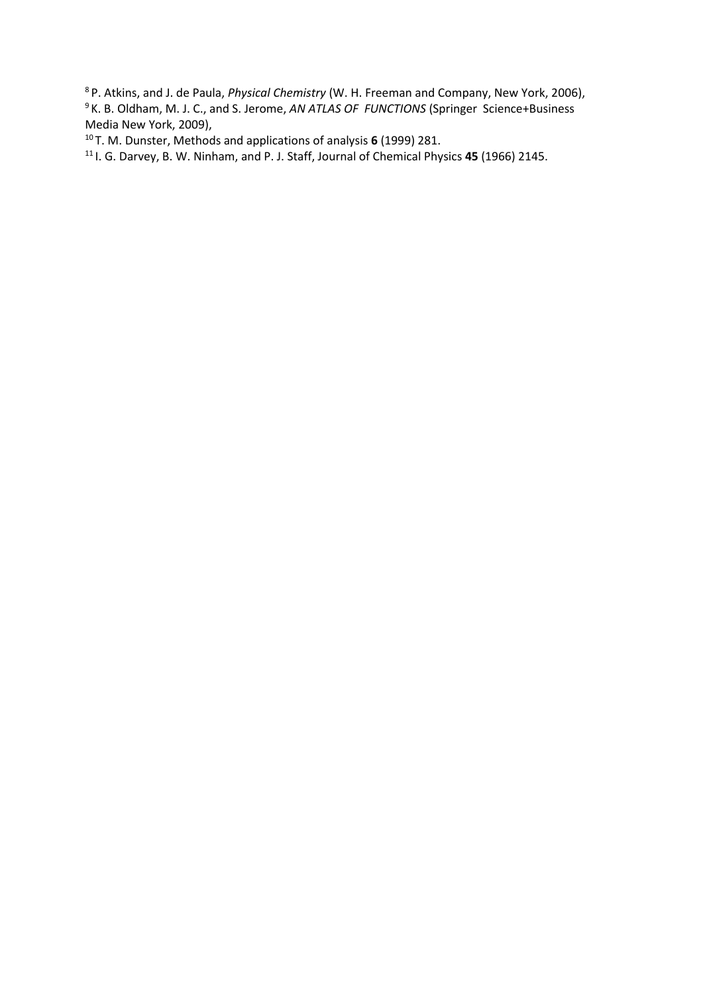P. Atkins, and J. de Paula, *Physical Chemistry* (W. H. Freeman and Company, New York, 2006), K. B. Oldham, M. J. C., and S. Jerome, *AN ATLAS OF FUNCTIONS* (Springer Science+Business Media New York, 2009),

T. M. Dunster, Methods and applications of analysis **6** (1999) 281.

I. G. Darvey, B. W. Ninham, and P. J. Staff, Journal of Chemical Physics **45** (1966) 2145.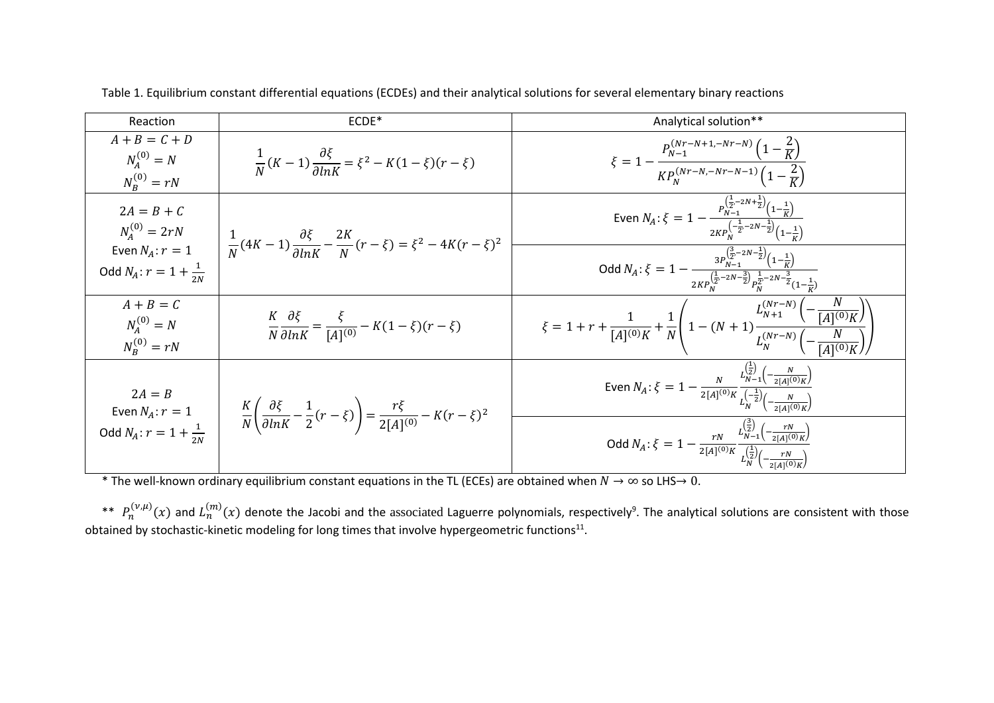| Reaction                                                               | ECDE*                                                                                                                    | Analytical solution**                                                                                                                                                                             |
|------------------------------------------------------------------------|--------------------------------------------------------------------------------------------------------------------------|---------------------------------------------------------------------------------------------------------------------------------------------------------------------------------------------------|
| $A + B = C + D$<br>$N_A^{(0)} = N$<br>$N_R^{(0)} = rN$                 | $\frac{1}{N}(K-1)\frac{\partial \xi}{\partial ln K} = \xi^2 - K(1-\xi)(r-\xi)$                                           | $\xi = 1 - \frac{P_{N-1}^{(Nr-N+1,-Nr-N)}\left(1-\frac{2}{K}\right)}{KP_N^{(Nr-N,-Nr-N-1)}\left(1-\frac{2}{K}\right)}$                                                                            |
| $2A = B + C$<br>$N_A^{(0)} = 2rN$                                      | $\frac{1}{N}(4K-1)\frac{\partial \xi}{\partial lnK} - \frac{2K}{N}(r-\xi) = \xi^2 - 4K(r-\xi)^2$                         | Even $N_A$ : $\xi = 1 - \frac{p_{N-1}^{\left(\frac{1}{2}-2N+\frac{1}{2}\right)}\left(1-\frac{1}{K}\right)}{2KP_N^{\left(-\frac{1}{2}-2N+\frac{1}{2}\right)}\left(1-\frac{1}{K}\right)}$           |
| Even $N_A$ : $r = 1$<br>Odd $N_A$ : $r = 1 + \frac{1}{2M}$             |                                                                                                                          | Odd $N_A$ : $\xi = 1 - \frac{3P_{R-1}^{(\frac{3}{2}-2N-\frac{1}{2})}(1-\frac{1}{K})}{2KP_N^{(\frac{1}{2}-2N-\frac{3}{2})}P_{R}^{\frac{1}{2}-2N-\frac{3}{2}}(1-\frac{1}{K})}$                      |
| $A + B = C$<br>$N_A^{(0)} = N$<br>$N_{R}^{(0)} = rN$                   | $\frac{K}{N} \frac{\partial \xi}{\partial lnK} = \frac{\xi}{[A]^{(0)}} - K(1-\xi)(r-\xi)$                                | $\xi = 1 + r + \frac{1}{[A]^{(0)}K} + \frac{1}{N} \left( 1 - (N+1) \frac{L_{N+1}^{(Nr-N)} \left( -\frac{N}{[A]^{(0)}K} \right)}{L_N^{(Nr-N)} \left( -\frac{N}{r_A \sqrt{(N-r)}} \right)} \right)$ |
| $2A = B$<br>Even $N_A$ : $r = 1$<br>Odd $N_A$ : $r = 1 + \frac{1}{2N}$ | $\frac{K}{N}\left(\frac{\partial \xi}{\partial lnK} - \frac{1}{2}(r - \xi)\right) = \frac{r\xi}{2[A](0)} - K(r - \xi)^2$ | Even $N_A$ : $\xi = 1 - \frac{N}{2[A]^{(0)}K} \frac{L_{N-1}^{(\frac{1}{2})} \left(-\frac{N}{2[A]^{(0)}K}\right)}{L_N^{(\frac{1}{2})} \left(-\frac{N}{2}\right)}$                                  |
|                                                                        |                                                                                                                          | Odd $N_A$ : $\xi = 1 - \frac{rN}{2[A]^{(0)}K} \frac{L_{N-1}^{(\frac{3}{2})} \left(-\frac{rN}{2[A]^{(0)}K}\right)}{L_N^{(\frac{1}{2})} \left(-\frac{rN}{2[A]^{(0)}K}\right)}$                      |

Table 1. Equilibrium constant differential equations (ECDEs) and their analytical solutions for several elementary binary reactions

\* The well-known ordinary equilibrium constant equations in the TL (ECEs) are obtained when  $N \to \infty$  so LHS $\to 0$ .

\*\*  $P_n^{(\nu,\mu)}(x)$  and  $L_n^{(m)}(x)$  denote the Jacobi and the associated Laguerre polynomials, respectively<sup>9</sup>. The analytical solutions are consistent with those obtained by stochastic-kinetic modeling for long times that involve hypergeometric functions<sup>11</sup>.